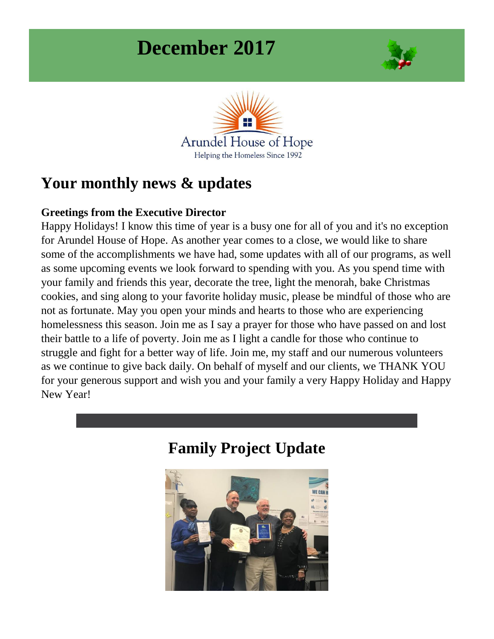# **December 2017**





## **Your monthly news & updates**

#### **Greetings from the Executive Director**

Happy Holidays! I know this time of year is a busy one for all of you and it's no exception for Arundel House of Hope. As another year comes to a close, we would like to share some of the accomplishments we have had, some updates with all of our programs, as well as some upcoming events we look forward to spending with you. As you spend time with your family and friends this year, decorate the tree, light the menorah, bake Christmas cookies, and sing along to your favorite holiday music, please be mindful of those who are not as fortunate. May you open your minds and hearts to those who are experiencing homelessness this season. Join me as I say a prayer for those who have passed on and lost their battle to a life of poverty. Join me as I light a candle for those who continue to struggle and fight for a better way of life. Join me, my staff and our numerous volunteers as we continue to give back daily. On behalf of myself and our clients, we THANK YOU for your generous support and wish you and your family a very Happy Holiday and Happy New Year!



### **Family Project Update**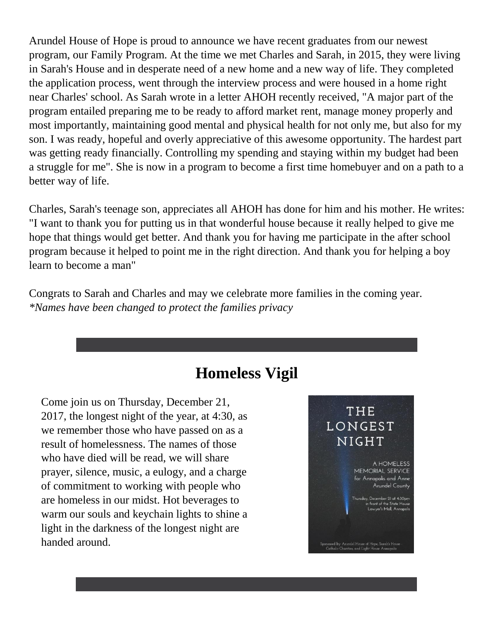Arundel House of Hope is proud to announce we have recent graduates from our newest program, our Family Program. At the time we met Charles and Sarah, in 2015, they were living in Sarah's House and in desperate need of a new home and a new way of life. They completed the application process, went through the interview process and were housed in a home right near Charles' school. As Sarah wrote in a letter AHOH recently received, "A major part of the program entailed preparing me to be ready to afford market rent, manage money properly and most importantly, maintaining good mental and physical health for not only me, but also for my son. I was ready, hopeful and overly appreciative of this awesome opportunity. The hardest part was getting ready financially. Controlling my spending and staying within my budget had been a struggle for me". She is now in a program to become a first time homebuyer and on a path to a better way of life.

Charles, Sarah's teenage son, appreciates all AHOH has done for him and his mother. He writes: "I want to thank you for putting us in that wonderful house because it really helped to give me hope that things would get better. And thank you for having me participate in the after school program because it helped to point me in the right direction. And thank you for helping a boy learn to become a man"

Congrats to Sarah and Charles and may we celebrate more families in the coming year. *\*Names have been changed to protect the families privacy*

### **Homeless Vigil**

Come join us on Thursday, December 21, 2017, the longest night of the year, at 4:30, as we remember those who have passed on as a result of homelessness. The names of those who have died will be read, we will share prayer, silence, music, a eulogy, and a charge of commitment to working with people who are homeless in our midst. Hot beverages to warm our souls and keychain lights to shine a light in the darkness of the longest night are handed around.